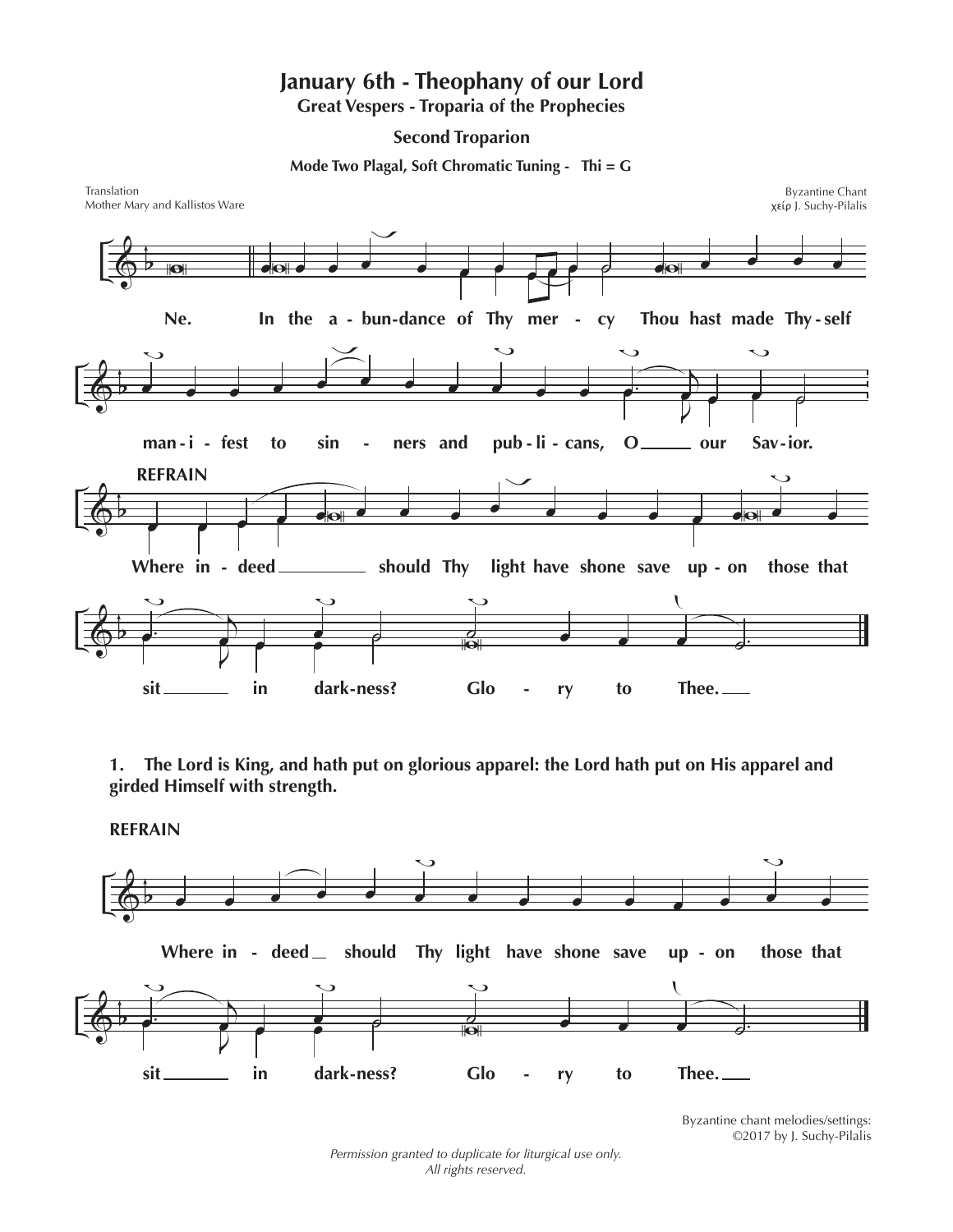## **January 6th - Theophany of our Lord Great Vespers - Troparia of the Prophecies**

**Second Troparion**

**Mode Two Plagal, Soft Chromatic Tuning - Thi = G**



**1. The Lord is King, and hath put on glorious apparel: the Lord hath put on His apparel and girded Himself with strength.**

**REFRAIN**



Byzantine chant melodies/settings: ©2017 by J. Suchy-Pilalis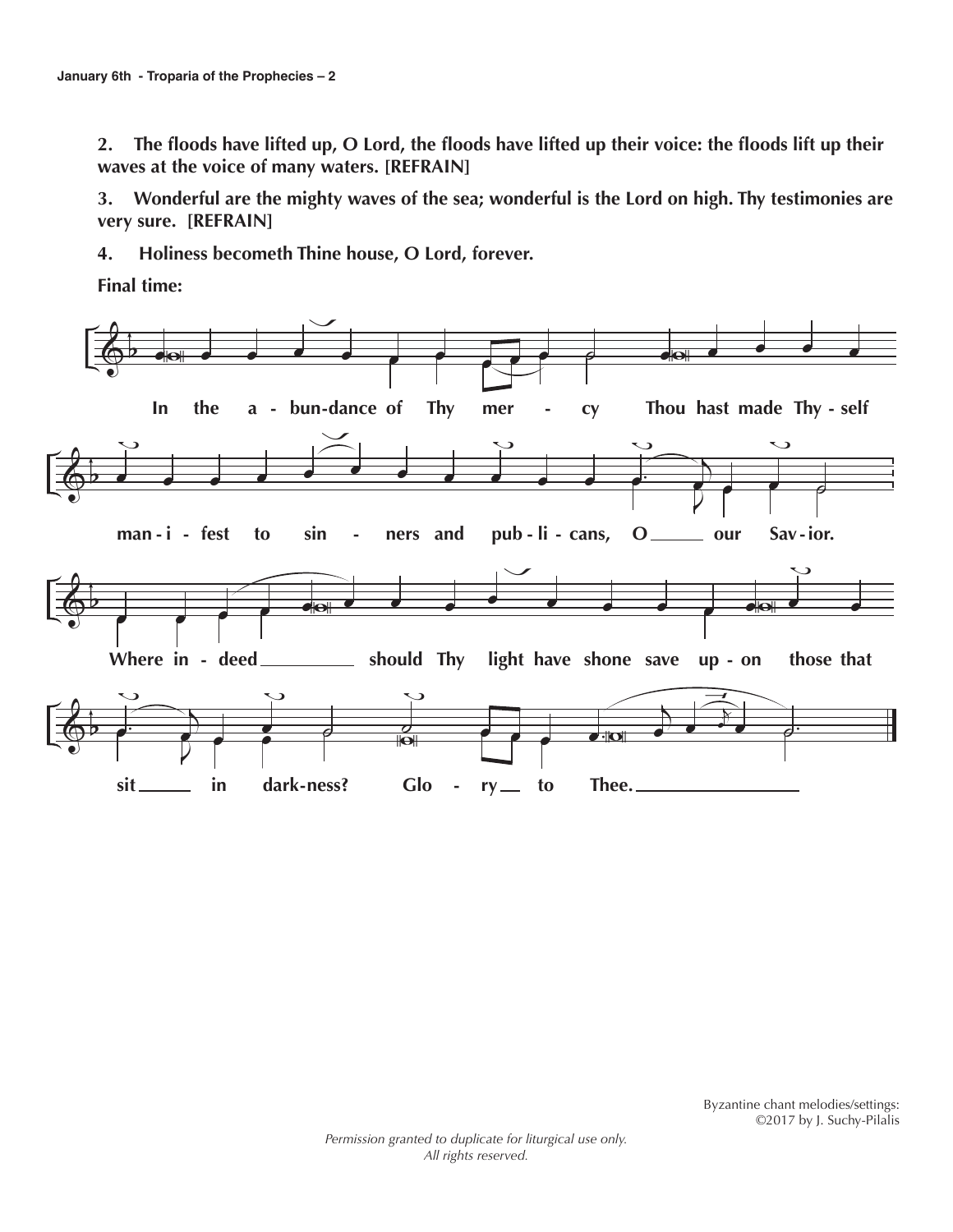**2. The floods have lifted up, O Lord, the floods have lifted up their voice: the floods lift up their waves at the voice of many waters. [REFRAIN]**

**3. Wonderful are the mighty waves of the sea; wonderful is the Lord on high. Thy testimonies are very sure. [REFRAIN]**

**4. Holiness becometh Thine house, O Lord, forever.** 

**Final time:**

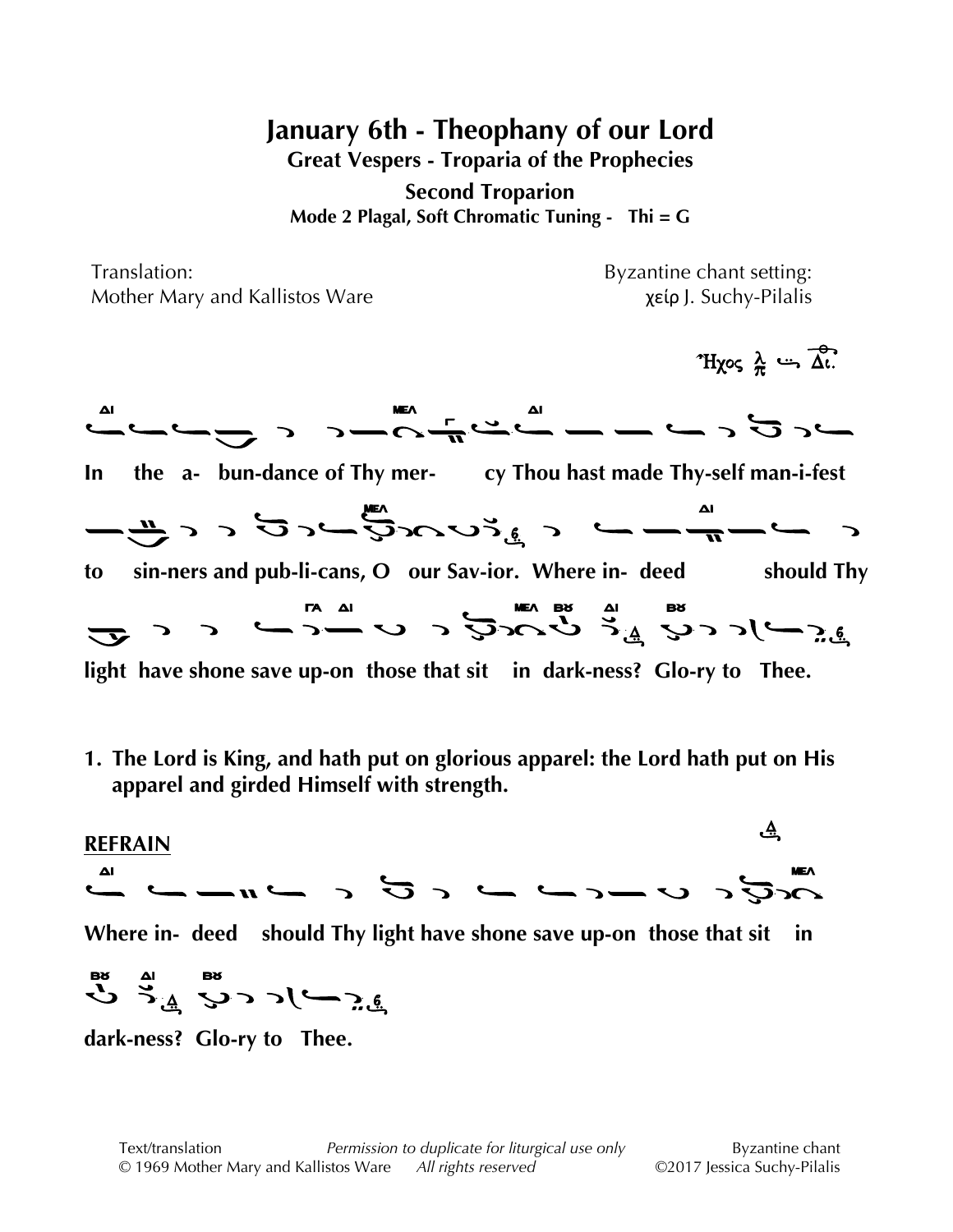**January 6th - Theophany of our Lord**

**Great Vespers - Troparia of the Prophecies**

**Second Troparion Mode 2 Plagal, Soft Chromatic Tuning - Thi = G**

Translation: Byzantine chant setting: Mother Mary and Kallistos Ware *χείρ J. Suchy-Pilalis* 

 $\mathcal{R} \cdot \mathcal{R}$  $\frac{1}{\sqrt{2}}\left(\frac{1}{\sqrt{2}}\right)^{\frac{1}{\sqrt{2}}}\left(\frac{1}{\sqrt{2}}\right)^{\frac{1}{\sqrt{2}}}\left(\frac{1}{\sqrt{2}}\right)^{\frac{1}{\sqrt{2}}}\left(\frac{1}{\sqrt{2}}\right)^{\frac{1}{\sqrt{2}}}\left(\frac{1}{\sqrt{2}}\right)^{\frac{1}{\sqrt{2}}}\left(\frac{1}{\sqrt{2}}\right)^{\frac{1}{\sqrt{2}}}\left(\frac{1}{\sqrt{2}}\right)^{\frac{1}{\sqrt{2}}}\left(\frac{1}{\sqrt{2}}\right)^{\frac{1}{\sqrt{2}}}\left(\frac{1}{\sqrt{$ **In the a- bun-dance of Thy mer- cy Thou hast made Thy-self man-i-fest**  #+ \$" " " " "%" " " " " " " "%" " " " " " " "\*" " "%"!"\*',-."%/"012" " " " " " " "%" " " " " " " " " " " " " "!" " "#' #"!" " " " " " " " " " " " "%" " " " " " " **to sin-ners and pub-li-cans, O our Sav-ior. Where in- deed should Thy**  $\hat{\mathcal{L}}$  )  $\hat{\mathcal{L}}$  ,  $\hat{\mathcal{L}}$  ,  $\hat{\mathcal{L}}$  ,  $\hat{\mathcal{L}}$  ,  $\hat{\mathcal{L}}$  ,  $\hat{\mathcal{L}}$  ,  $\hat{\mathcal{L}}$  ,  $\hat{\mathcal{L}}$  ,  $\hat{\mathcal{L}}$  ,  $\hat{\mathcal{L}}$  ,  $\hat{\mathcal{L}}$  ,  $\hat{\mathcal{L}}$  ,  $\hat{\mathcal{L}}$  ,  $\hat{\mathcal{L}}$  ,  $\hat{\mathcal{L}}$  ,  $\hat{\mathcal{L}}$  , **light have shone save up-on those that sit in dark-ness? Glo-ry to Thee.**

**1. The Lord is King, and hath put on glorious apparel: the Lord hath put on His apparel and girded Himself with strength.**

**REFRAIN** <u>ئ</u>ے.  $\mathcal{L}_{\mathcal{G}}\subset\mathcal{L}_{\mathcal{G}}\subset\mathcal{L}_{\mathcal{G}}\subset\mathcal{L}_{\mathcal{G}}\subset\mathcal{L}_{\mathcal{G}}\subset\mathcal{L}_{\mathcal{G}}\subset\mathcal{L}_{\mathcal{G}}\subset\mathcal{L}_{\mathcal{G}}\subset\mathcal{L}_{\mathcal{G}}\subset\mathcal{L}_{\mathcal{G}}\subset\mathcal{L}_{\mathcal{G}}\subset\mathcal{L}_{\mathcal{G}}\subset\mathcal{L}_{\mathcal{G}}\subset\mathcal{L}_{\mathcal{G}}\subset\mathcal{L}_{\mathcal{G}}\subset\mathcal{L}_{\mathcal{$ **Where in- deed should Thy light have shone save up-on those that sit in**  $\sum_{i=1}^n$   $\sum_{i=1}^n$   $\sum_{i=1}^n$   $\sum_{i=1}^n$ 

**dark-ness? Glo-ry to Thee.**